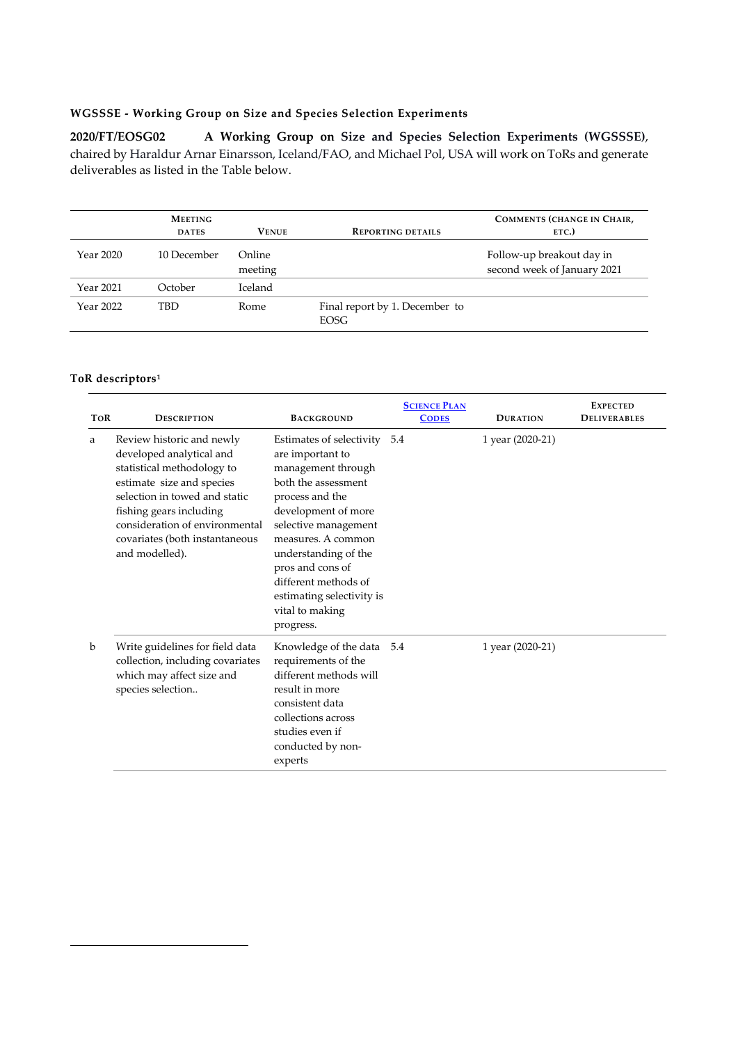## **WGSSSE - Working Group on Size and Species Selection Experiments**

**2020/FT/EOSG02 A Working Group on Size and Species Selection Experiments (WGSSSE)**, chaired by Haraldur Arnar Einarsson, Iceland/FAO, and Michael Pol, USA will work on ToRs and generate deliverables as listed in the Table below.

|           | <b>MEETING</b><br><b>DATES</b> | <b>VENUE</b>      | <b>REPORTING DETAILS</b>                      | <b>COMMENTS (CHANGE IN CHAIR,</b><br>ETC.)               |
|-----------|--------------------------------|-------------------|-----------------------------------------------|----------------------------------------------------------|
| Year 2020 | 10 December                    | Online<br>meeting |                                               | Follow-up breakout day in<br>second week of January 2021 |
| Year 2021 | October                        | Iceland           |                                               |                                                          |
| Year 2022 | TBD                            | Rome              | Final report by 1. December to<br><b>EOSG</b> |                                                          |

## **ToR descriptors[1](#page-0-0)**

<span id="page-0-0"></span>1

| <b>TOR</b> | <b>DESCRIPTION</b>                                                                                                                                                                                                                                                 | <b>BACKGROUND</b>                                                                                                                                                                                                                                                                                                  | <b>SCIENCE PLAN</b><br><b>CODES</b> | <b>DURATION</b>  | <b>EXPECTED</b><br><b>DELIVERABLES</b> |
|------------|--------------------------------------------------------------------------------------------------------------------------------------------------------------------------------------------------------------------------------------------------------------------|--------------------------------------------------------------------------------------------------------------------------------------------------------------------------------------------------------------------------------------------------------------------------------------------------------------------|-------------------------------------|------------------|----------------------------------------|
| a          | Review historic and newly<br>developed analytical and<br>statistical methodology to<br>estimate size and species<br>selection in towed and static<br>fishing gears including<br>consideration of environmental<br>covariates (both instantaneous<br>and modelled). | Estimates of selectivity<br>are important to<br>management through<br>both the assessment<br>process and the<br>development of more<br>selective management<br>measures. A common<br>understanding of the<br>pros and cons of<br>different methods of<br>estimating selectivity is<br>vital to making<br>progress. | 5.4                                 | 1 year (2020-21) |                                        |
| b          | Write guidelines for field data<br>collection, including covariates<br>which may affect size and<br>species selection                                                                                                                                              | Knowledge of the data 5.4<br>requirements of the<br>different methods will<br>result in more<br>consistent data<br>collections across<br>studies even if<br>conducted by non-<br>experts                                                                                                                           |                                     | 1 year (2020-21) |                                        |